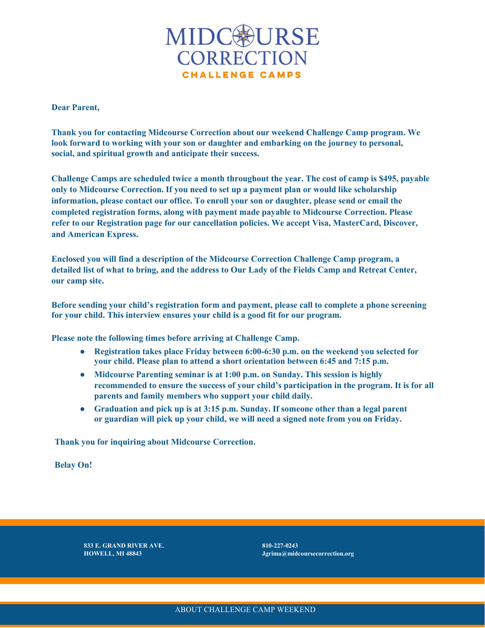

Dear Parent,

Thank you for contacting Midcourse Correction about our weekend Challenge Camp program. We look forward to working with your son or daughter and embarking on the journey to personal, social, and spiritual growth and anticipate their success.

Challenge Camps are scheduled twice a month throughout the year. The cost of camp is \$495, payable only to Midcourse Correction. If you need to set up a payment plan or would like scholarship information, please contact our office. To enroll your son or daughter, please send or email the completed registration forms, along with payment made payable to Midcourse Correction. Please refer to our Registration page for our cancellation policies. We accept Visa, MasterCard, Discover, and American Express.

Enclosed you will find a description of the Midcourse Correction Challenge Camp program, a detailed list of what to bring, and the address to Our Lady of the Fields Camp and Retreat Center, our camp site.

Before sending your child's registration form and payment, please call to complete a phone screening for your child. This interview ensures your child is a good fit for our program.

Please note the following times before arriving at Challenge Camp.

- Registration takes place Friday between 6:00-6:30 p.m. on the weekend you selected for your child. Please plan to attend a short orientation between 6:45 and 7:15 p.m.
- Midcourse Parenting seminar is at 1:00 p.m. on Sunday. This session is highly recommended to ensure the success of your child's participation in the program. It is for all parents and family members who support your child daily.
- Graduation and pick up is at 3:15 p.m. Sunday. If someone other than a legal parent or guardian will pick up your child, we will need a signed note from you on Friday.

Thank you for inquiring about Midcourse Correction.

Belay On!

833 E. GRAND RIVER AVE. 810-227-0243

 $Jgrima@midcourse correction.org$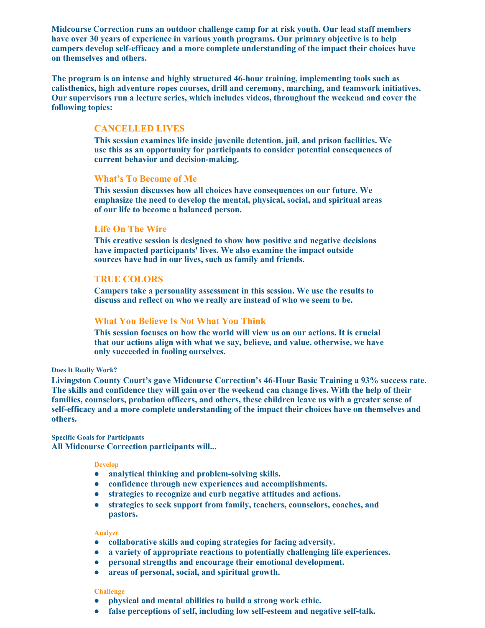Midcourse Correction runs an outdoor challenge camp for at risk youth. Our lead staff members have over 30 years of experience in various youth programs. Our primary objective is to help campers develop self-efficacy and a more complete understanding of the impact their choices have on themselves and others.

The program is an intense and highly structured 46-hour training, implementing tools such as calisthenics, high adventure ropes courses, drill and ceremony, marching, and teamwork initiatives. Our supervisors run a lecture series, which includes videos, throughout the weekend and cover the following topics:

# CANCELLED LIVES

This session examines life inside juvenile detention, jail, and prison facilities. We use this as an opportunity for participants to consider potential consequences of current behavior and decision-making.

# What's To Become of Me

This session discusses how all choices have consequences on our future. We emphasize the need to develop the mental, physical, social, and spiritual areas of our life to become a balanced person.

# Life On The Wire

This creative session is designed to show how positive and negative decisions have impacted participants' lives. We also examine the impact outside sources have had in our lives, such as family and friends.

# TRUE COLORS

Campers take a personality assessment in this session. We use the results to discuss and reflect on who we really are instead of who we seem to be.

# What You Believe Is Not What You Think

This session focuses on how the world will view us on our actions. It is crucial that our actions align with what we say, believe, and value, otherwise, we have only succeeded in fooling ourselves.

#### Does It Really Work?

Livingston County Court's gave Midcourse Correction's 46-Hour Basic Training a 93% success rate. The skills and confidence they will gain over the weekend can change lives. With the help of their families, counselors, probation officers, and others, these children leave us with a greater sense of self-efficacy and a more complete understanding of the impact their choices have on themselves and others.

## Specific Goals for Participants All Midcourse Correction participants will...

#### Develop

- analytical thinking and problem-solving skills.
- confidence through new experiences and accomplishments.
- strategies to recognize and curb negative attitudes and actions.
- strategies to seek support from family, teachers, counselors, coaches, and pastors.

#### Analyze

- collaborative skills and coping strategies for facing adversity.
- a variety of appropriate reactions to potentially challenging life experiences.
- personal strengths and encourage their emotional development.
- areas of personal, social, and spiritual growth.

#### Challenge

- physical and mental abilities to build a strong work ethic.
- false perceptions of self, including low self-esteem and negative self-talk.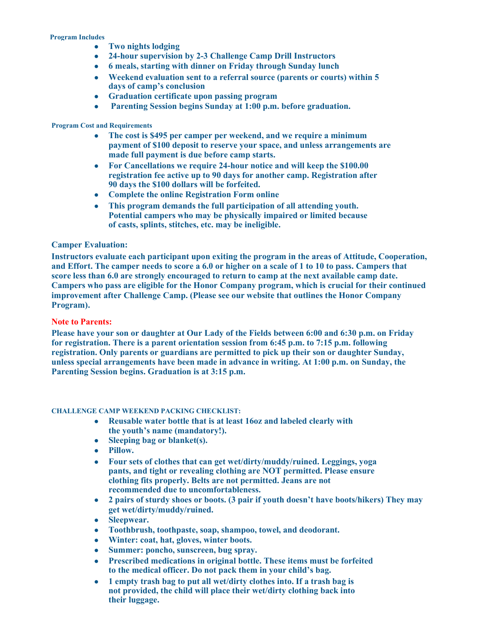### Program Includes

- Two nights lodging
- 24-hour supervision by 2-3 Challenge Camp Drill Instructors
- 6 meals, starting with dinner on Friday through Sunday lunch
- Weekend evaluation sent to a referral source (parents or courts) within 5 days of camp's conclusion
- Graduation certificate upon passing program
- Parenting Session begins Sunday at 1:00 p.m. before graduation.

# Program Cost and Requirements

- The cost is \$495 per camper per weekend, and we require a minimum payment of \$100 deposit to reserve your space, and unless arrangements are made full payment is due before camp starts.
- For Cancellations we require 24-hour notice and will keep the \$100.00 registration fee active up to 90 days for another camp. Registration after 90 days the \$100 dollars will be forfeited.
- Complete the online Registration Form online
- This program demands the full participation of all attending youth. Potential campers who may be physically impaired or limited because of casts, splints, stitches, etc. may be ineligible.

# Camper Evaluation:

Instructors evaluate each participant upon exiting the program in the areas of Attitude, Cooperation, and Effort. The camper needs to score a 6.0 or higher on a scale of 1 to 10 to pass. Campers that score less than 6.0 are strongly encouraged to return to camp at the next available camp date. Campers who pass are eligible for the Honor Company program, which is crucial for their continued improvement after Challenge Camp. (Please see our website that outlines the Honor Company Program).

# Note to Parents:

Please have your son or daughter at Our Lady of the Fields between 6:00 and 6:30 p.m. on Friday for registration. There is a parent orientation session from 6:45 p.m. to 7:15 p.m. following registration. Only parents or guardians are permitted to pick up their son or daughter Sunday, unless special arrangements have been made in advance in writing. At 1:00 p.m. on Sunday, the Parenting Session begins. Graduation is at 3:15 p.m.

# CHALLENGE CAMP WEEKEND PACKING CHECKLIST:

- Reusable water bottle that is at least 16oz and labeled clearly with the youth's name (mandatory!).
- Sleeping bag or blanket(s).
- Pillow.
- Four sets of clothes that can get wet/dirty/muddy/ruined. Leggings, yoga pants, and tight or revealing clothing are NOT permitted. Please ensure clothing fits properly. Belts are not permitted. Jeans are not recommended due to uncomfortableness.
- 2 pairs of sturdy shoes or boots. (3 pair if youth doesn't have boots/hikers) They may get wet/dirty/muddy/ruined.
- Sleepwear.
- Toothbrush, toothpaste, soap, shampoo, towel, and deodorant.
- Winter: coat, hat, gloves, winter boots.
- Summer: poncho, sunscreen, bug spray.
- Prescribed medications in original bottle. These items must be forfeited to the medical officer. Do not pack them in your child's bag.
- 1 empty trash bag to put all wet/dirty clothes into. If a trash bag is not provided, the child will place their wet/dirty clothing back into their luggage.